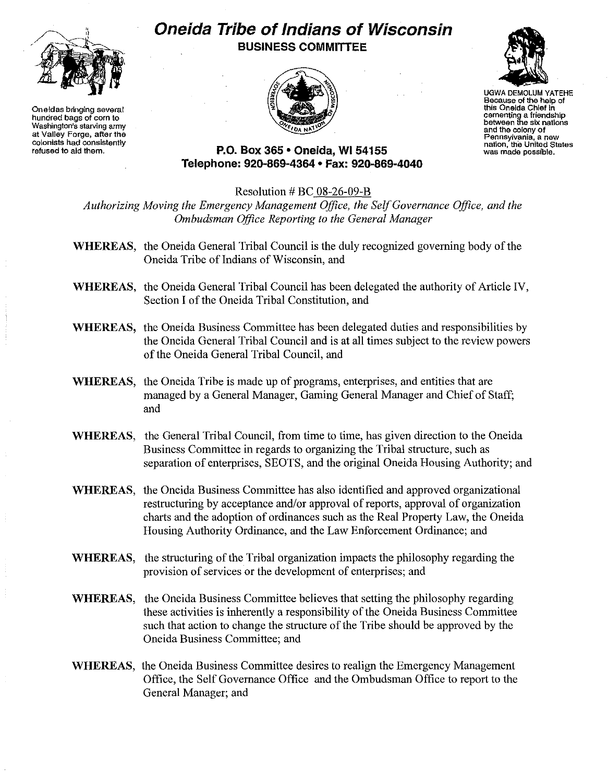

**Oneidas bringing several hundred bags of corn to Washington's starving army at Valley Forge, after the colonists had consistently refused to aid them.**

## **Oneida Tribe of Indians of Wisconsin BUSINESS COMMITTEE**





UGWA DEMOLUM YATEHE **Because of the help of this Oneida Chief in cementing a friendshIp between the six nations and the colony of Pennsylvania, a new nation, the United States was made possible.**

**P.O. Box 365' Oneida,** WI 54155 **Telephone: 920-869-4364 • Fax: 920-869-4040**

Resolution # BC 08-26-09-B

*Authorizing Moving the Emergency Management Office, the SelfGovernance Office, and the Ombudsman Office Reporting to the General Manager*

- **WHEREAS,** the Oneida General Tribal Council is the duly recognized governing body of the Oneida Tribe of Indians of Wisconsin, and
- **WHEREAS,** the Oneida General Tribal Council has been delegated the authority of Article IV, Section I of the Oneida Tribal Constitution, and
- **WHEREAS,** the Oneida Business Committee has been delegated duties and responsibilities by the Oneida General Tribal Council and is at all times subject to the review powers of the Oneida General Tribal Council, and
- **WHEREAS,** the Oneida Tribe is made up of programs, enterprises, and entities that are managed by a General Manager, Gaming General Manager and Chief of Staff; and
- **WHEREAS,** the General Tribal Council, from time to time, has given direction to the Oneida Business Committee in regards to organizing the Tribal structure, such as separation of enterprises, SEOTS, and the original Oneida Housing Authority; and
- **WHEREAS,** the Oneida Business Committee has also identified and approved organizational restructuring by acceptance and/or approval of reports, approval of organization charts and the adoption of ordinances such as the Real Property Law, the Oneida Housing Authority Ordinance, and the Law Enforcement Ordinance; and
- **WHEREAS,** the structuring of the Tribal organization impacts the philosophy regarding the provision of services or the development of enterprises; and
- **WHEREAS,** the Oneida Business Committee believes that setting the philosophy regarding these activities is inherently a responsibility of the Oneida Business Committee such that action to change the structure of the Tribe should be approved by the Oneida Business Committee; and
- **WHEREAS,** the Oneida Business Committee desires to realign the Emergency Management Office, the Self Governance Office and the Ombudsman Office to report to the General Manager; and